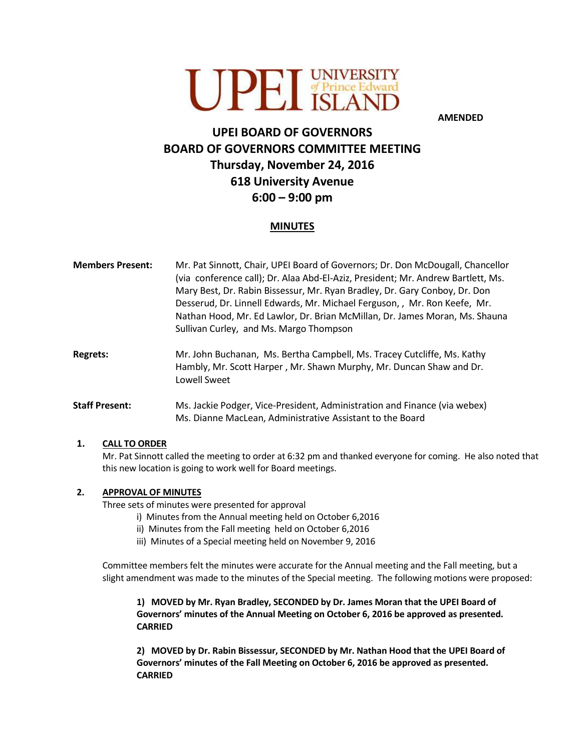

**AMENDED**

# **UPEI BOARD OF GOVERNORS BOARD OF GOVERNORS COMMITTEE MEETING Thursday, November 24, 2016 618 University Avenue 6:00 – 9:00 pm**

## **MINUTES**

- **Members Present:** Mr. Pat Sinnott, Chair, UPEI Board of Governors; Dr. Don McDougall, Chancellor (via conference call); Dr. Alaa Abd-El-Aziz, President; Mr. Andrew Bartlett, Ms. Mary Best, Dr. Rabin Bissessur, Mr. Ryan Bradley, Dr. Gary Conboy, Dr. Don Desserud, Dr. Linnell Edwards, Mr. Michael Ferguson, , Mr. Ron Keefe, Mr. Nathan Hood, Mr. Ed Lawlor, Dr. Brian McMillan, Dr. James Moran, Ms. Shauna Sullivan Curley, and Ms. Margo Thompson
- **Regrets:** Mr. John Buchanan, Ms. Bertha Campbell, Ms. Tracey Cutcliffe, Ms. Kathy Hambly, Mr. Scott Harper , Mr. Shawn Murphy, Mr. Duncan Shaw and Dr. Lowell Sweet
- **Staff Present:** Ms. Jackie Podger, Vice-President, Administration and Finance (via webex) Ms. Dianne MacLean, Administrative Assistant to the Board

## **1. CALL TO ORDER**

Mr. Pat Sinnott called the meeting to order at 6:32 pm and thanked everyone for coming. He also noted that this new location is going to work well for Board meetings.

## **2. APPROVAL OF MINUTES**

Three sets of minutes were presented for approval

- i) Minutes from the Annual meeting held on October 6,2016
- ii) Minutes from the Fall meeting held on October 6,2016
- iii) Minutes of a Special meeting held on November 9, 2016

Committee members felt the minutes were accurate for the Annual meeting and the Fall meeting, but a slight amendment was made to the minutes of the Special meeting. The following motions were proposed:

**1) MOVED by Mr. Ryan Bradley, SECONDED by Dr. James Moran that the UPEI Board of Governors' minutes of the Annual Meeting on October 6, 2016 be approved as presented. CARRIED**

**2) MOVED by Dr. Rabin Bissessur, SECONDED by Mr. Nathan Hood that the UPEI Board of Governors' minutes of the Fall Meeting on October 6, 2016 be approved as presented. CARRIED**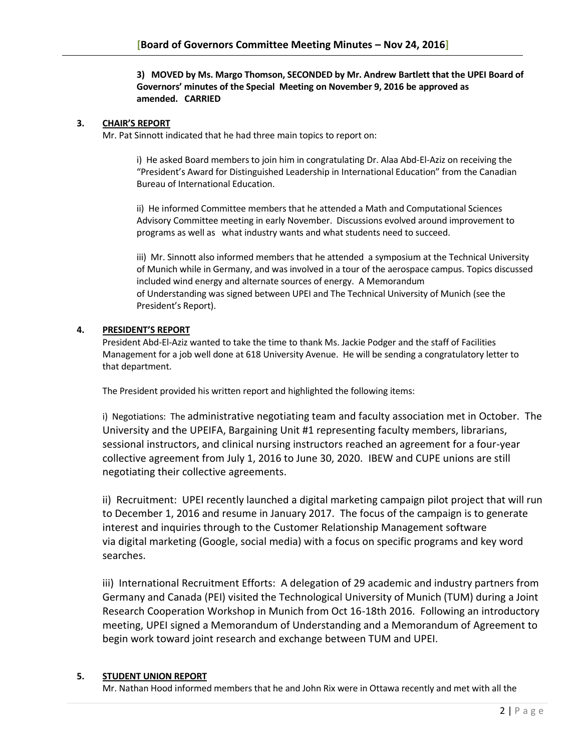#### **3) MOVED by Ms. Margo Thomson, SECONDED by Mr. Andrew Bartlett that the UPEI Board of Governors' minutes of the Special Meeting on November 9, 2016 be approved as amended. CARRIED**

#### **3. CHAIR'S REPORT**

Mr. Pat Sinnott indicated that he had three main topics to report on:

i) He asked Board members to join him in congratulating Dr. Alaa Abd-El-Aziz on receiving the "President's Award for Distinguished Leadership in International Education" from the Canadian Bureau of International Education.

ii) He informed Committee members that he attended a Math and Computational Sciences Advisory Committee meeting in early November. Discussions evolved around improvement to programs as well as what industry wants and what students need to succeed.

iii) Mr. Sinnott also informed members that he attended a symposium at the Technical University of Munich while in Germany, and was involved in a tour of the aerospace campus. Topics discussed included wind energy and alternate sources of energy. A Memorandum of Understanding was signed between UPEI and The Technical University of Munich (see the President's Report).

#### **4. PRESIDENT'S REPORT**

President Abd-El-Aziz wanted to take the time to thank Ms. Jackie Podger and the staff of Facilities Management for a job well done at 618 University Avenue. He will be sending a congratulatory letter to that department.

The President provided his written report and highlighted the following items:

i) Negotiations: The administrative negotiating team and faculty association met in October. The University and the UPEIFA, Bargaining Unit #1 representing faculty members, librarians, sessional instructors, and clinical nursing instructors reached an agreement for a four-year collective agreement from July 1, 2016 to June 30, 2020. IBEW and CUPE unions are still negotiating their collective agreements.

ii) Recruitment: UPEI recently launched a digital marketing campaign pilot project that will run to December 1, 2016 and resume in January 2017. The focus of the campaign is to generate interest and inquiries through to the Customer Relationship Management software via digital marketing (Google, social media) with a focus on specific programs and key word searches.

iii) International Recruitment Efforts: A delegation of 29 academic and industry partners from Germany and Canada (PEI) visited the Technological University of Munich (TUM) during a Joint Research Cooperation Workshop in Munich from Oct 16-18th 2016. Following an introductory meeting, UPEI signed a Memorandum of Understanding and a Memorandum of Agreement to begin work toward joint research and exchange between TUM and UPEI.

## **5. STUDENT UNION REPORT**

Mr. Nathan Hood informed members that he and John Rix were in Ottawa recently and met with all the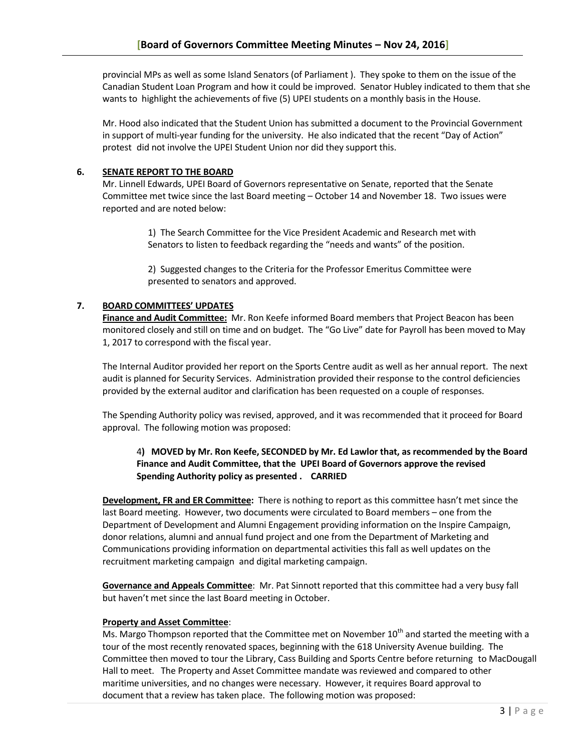provincial MPs as well as some Island Senators (of Parliament ). They spoke to them on the issue of the Canadian Student Loan Program and how it could be improved. Senator Hubley indicated to them that she wants to highlight the achievements of five (5) UPEI students on a monthly basis in the House.

Mr. Hood also indicated that the Student Union has submitted a document to the Provincial Government in support of multi-year funding for the university. He also indicated that the recent "Day of Action" protest did not involve the UPEI Student Union nor did they support this.

## **6. SENATE REPORT TO THE BOARD**

Mr. Linnell Edwards, UPEI Board of Governors representative on Senate, reported that the Senate Committee met twice since the last Board meeting – October 14 and November 18. Two issues were reported and are noted below:

> 1) The Search Committee for the Vice President Academic and Research met with Senators to listen to feedback regarding the "needs and wants" of the position.

2) Suggested changes to the Criteria for the Professor Emeritus Committee were presented to senators and approved.

## **7. BOARD COMMITTEES' UPDATES**

**Finance and Audit Committee:** Mr. Ron Keefe informed Board members that Project Beacon has been monitored closely and still on time and on budget. The "Go Live" date for Payroll has been moved to May 1, 2017 to correspond with the fiscal year.

The Internal Auditor provided her report on the Sports Centre audit as well as her annual report. The next audit is planned for Security Services. Administration provided their response to the control deficiencies provided by the external auditor and clarification has been requested on a couple of responses.

The Spending Authority policy was revised, approved, and it was recommended that it proceed for Board approval. The following motion was proposed:

## 4**) MOVED by Mr. Ron Keefe, SECONDED by Mr. Ed Lawlor that, as recommended by the Board Finance and Audit Committee, that the UPEI Board of Governors approve the revised Spending Authority policy as presented . CARRIED**

**Development, FR and ER Committee:** There is nothing to report as this committee hasn't met since the last Board meeting. However, two documents were circulated to Board members – one from the Department of Development and Alumni Engagement providing information on the Inspire Campaign, donor relations, alumni and annual fund project and one from the Department of Marketing and Communications providing information on departmental activities this fall as well updates on the recruitment marketing campaign and digital marketing campaign.

**Governance and Appeals Committee**: Mr. Pat Sinnott reported that this committee had a very busy fall but haven't met since the last Board meeting in October.

## **Property and Asset Committee**:

Ms. Margo Thompson reported that the Committee met on November 10<sup>th</sup> and started the meeting with a tour of the most recently renovated spaces, beginning with the 618 University Avenue building. The Committee then moved to tour the Library, Cass Building and Sports Centre before returning to MacDougall Hall to meet. The Property and Asset Committee mandate was reviewed and compared to other maritime universities, and no changes were necessary. However, it requires Board approval to document that a review has taken place. The following motion was proposed: